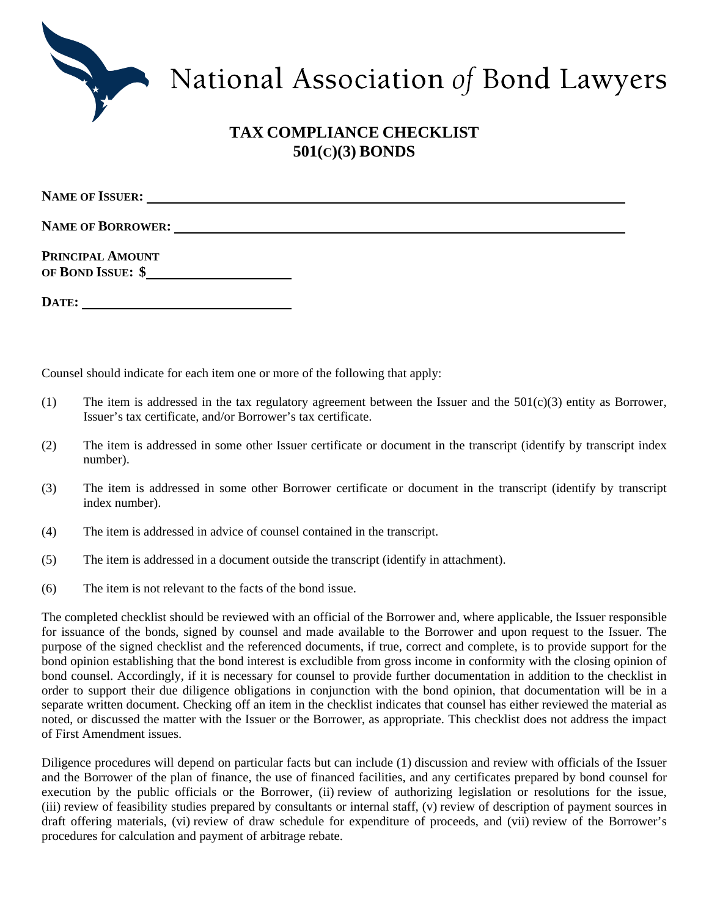

## National Association of Bond Lawyers

## **TAX COMPLIANCE CHECKLIST 501(C)(3) BONDS**

| <b>NAME OF BORROWER:</b>              |  |  |
|---------------------------------------|--|--|
| PRINCIPAL AMOUNT<br>OF BOND ISSUE: \$ |  |  |
| DATE:                                 |  |  |

Counsel should indicate for each item one or more of the following that apply:

- (1) The item is addressed in the tax regulatory agreement between the Issuer and the  $501(c)(3)$  entity as Borrower, Issuer's tax certificate, and/or Borrower's tax certificate.
- (2) The item is addressed in some other Issuer certificate or document in the transcript (identify by transcript index number).
- (3) The item is addressed in some other Borrower certificate or document in the transcript (identify by transcript index number).
- (4) The item is addressed in advice of counsel contained in the transcript.
- (5) The item is addressed in a document outside the transcript (identify in attachment).
- (6) The item is not relevant to the facts of the bond issue.

The completed checklist should be reviewed with an official of the Borrower and, where applicable, the Issuer responsible for issuance of the bonds, signed by counsel and made available to the Borrower and upon request to the Issuer. The purpose of the signed checklist and the referenced documents, if true, correct and complete, is to provide support for the bond opinion establishing that the bond interest is excludible from gross income in conformity with the closing opinion of bond counsel. Accordingly, if it is necessary for counsel to provide further documentation in addition to the checklist in order to support their due diligence obligations in conjunction with the bond opinion, that documentation will be in a separate written document. Checking off an item in the checklist indicates that counsel has either reviewed the material as noted, or discussed the matter with the Issuer or the Borrower, as appropriate. This checklist does not address the impact of First Amendment issues.

Diligence procedures will depend on particular facts but can include (1) discussion and review with officials of the Issuer and the Borrower of the plan of finance, the use of financed facilities, and any certificates prepared by bond counsel for execution by the public officials or the Borrower, (ii) review of authorizing legislation or resolutions for the issue, (iii) review of feasibility studies prepared by consultants or internal staff, (v) review of description of payment sources in draft offering materials, (vi) review of draw schedule for expenditure of proceeds, and (vii) review of the Borrower's procedures for calculation and payment of arbitrage rebate.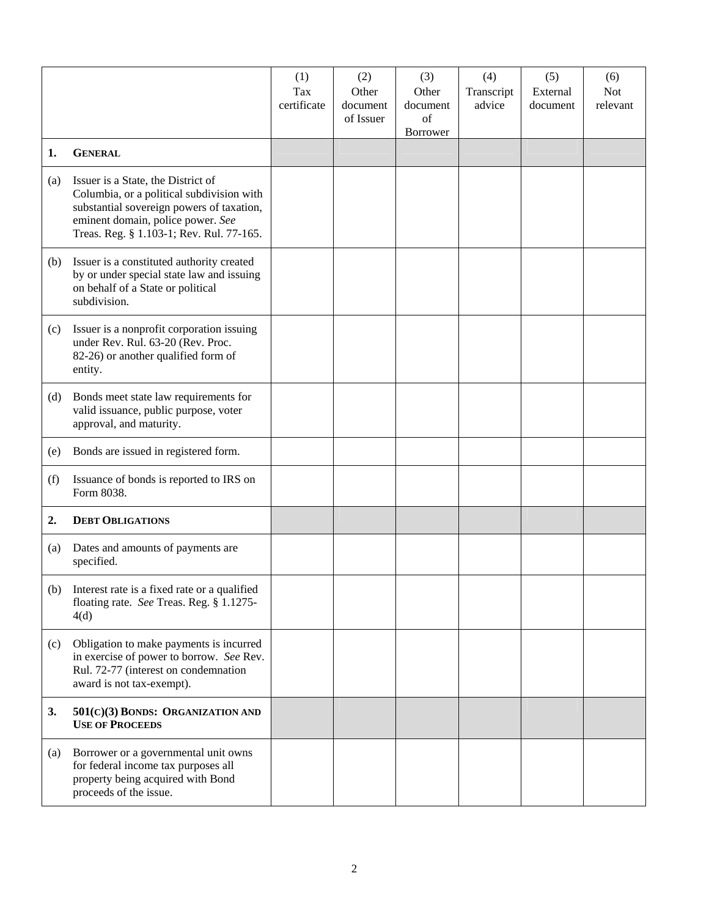|     |                                                                                                                                                                                                               | (1)<br>Tax<br>certificate | (2)<br>Other<br>document<br>of Issuer | (3)<br>Other<br>document<br>of<br>Borrower | (4)<br>Transcript<br>advice | (5)<br>External<br>document | (6)<br><b>Not</b><br>relevant |
|-----|---------------------------------------------------------------------------------------------------------------------------------------------------------------------------------------------------------------|---------------------------|---------------------------------------|--------------------------------------------|-----------------------------|-----------------------------|-------------------------------|
| 1.  | <b>GENERAL</b>                                                                                                                                                                                                |                           |                                       |                                            |                             |                             |                               |
| (a) | Issuer is a State, the District of<br>Columbia, or a political subdivision with<br>substantial sovereign powers of taxation,<br>eminent domain, police power. See<br>Treas. Reg. § 1.103-1; Rev. Rul. 77-165. |                           |                                       |                                            |                             |                             |                               |
| (b) | Issuer is a constituted authority created<br>by or under special state law and issuing<br>on behalf of a State or political<br>subdivision.                                                                   |                           |                                       |                                            |                             |                             |                               |
| (c) | Issuer is a nonprofit corporation issuing<br>under Rev. Rul. 63-20 (Rev. Proc.<br>82-26) or another qualified form of<br>entity.                                                                              |                           |                                       |                                            |                             |                             |                               |
| (d) | Bonds meet state law requirements for<br>valid issuance, public purpose, voter<br>approval, and maturity.                                                                                                     |                           |                                       |                                            |                             |                             |                               |
| (e) | Bonds are issued in registered form.                                                                                                                                                                          |                           |                                       |                                            |                             |                             |                               |
| (f) | Issuance of bonds is reported to IRS on<br>Form 8038.                                                                                                                                                         |                           |                                       |                                            |                             |                             |                               |
| 2.  | <b>DEBT OBLIGATIONS</b>                                                                                                                                                                                       |                           |                                       |                                            |                             |                             |                               |
| (a) | Dates and amounts of payments are<br>specified.                                                                                                                                                               |                           |                                       |                                            |                             |                             |                               |
| (b) | Interest rate is a fixed rate or a qualified<br>floating rate. See Treas. Reg. § 1.1275-<br>4(d)                                                                                                              |                           |                                       |                                            |                             |                             |                               |
| (c) | Obligation to make payments is incurred<br>in exercise of power to borrow. See Rev.<br>Rul. 72-77 (interest on condemnation<br>award is not tax-exempt).                                                      |                           |                                       |                                            |                             |                             |                               |
| 3.  | 501(C)(3) BONDS: ORGANIZATION AND<br><b>USE OF PROCEEDS</b>                                                                                                                                                   |                           |                                       |                                            |                             |                             |                               |
| (a) | Borrower or a governmental unit owns<br>for federal income tax purposes all<br>property being acquired with Bond<br>proceeds of the issue.                                                                    |                           |                                       |                                            |                             |                             |                               |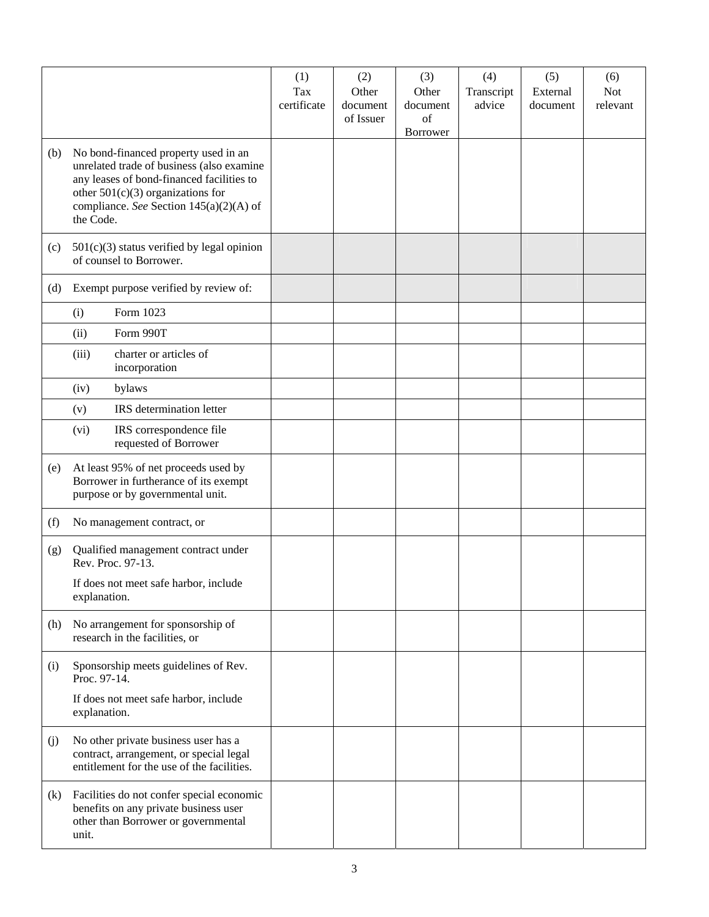|     |                                                                                        | (1)                | (2)               | (3)               | (4)                  | (5)                  | (6)                    |
|-----|----------------------------------------------------------------------------------------|--------------------|-------------------|-------------------|----------------------|----------------------|------------------------|
|     |                                                                                        | Tax<br>certificate | Other<br>document | Other<br>document | Transcript<br>advice | External<br>document | <b>Not</b><br>relevant |
|     |                                                                                        |                    | of Issuer         | of                |                      |                      |                        |
|     |                                                                                        |                    |                   | Borrower          |                      |                      |                        |
| (b) | No bond-financed property used in an                                                   |                    |                   |                   |                      |                      |                        |
|     | unrelated trade of business (also examine<br>any leases of bond-financed facilities to |                    |                   |                   |                      |                      |                        |
|     | other $501(c)(3)$ organizations for                                                    |                    |                   |                   |                      |                      |                        |
|     | compliance. See Section 145(a)(2)(A) of<br>the Code.                                   |                    |                   |                   |                      |                      |                        |
|     |                                                                                        |                    |                   |                   |                      |                      |                        |
| (c) | $501(c)(3)$ status verified by legal opinion<br>of counsel to Borrower.                |                    |                   |                   |                      |                      |                        |
| (d) | Exempt purpose verified by review of:                                                  |                    |                   |                   |                      |                      |                        |
|     | Form 1023<br>(i)                                                                       |                    |                   |                   |                      |                      |                        |
|     | (ii)<br>Form 990T                                                                      |                    |                   |                   |                      |                      |                        |
|     | charter or articles of<br>(iii)<br>incorporation                                       |                    |                   |                   |                      |                      |                        |
|     | (iv)<br>bylaws                                                                         |                    |                   |                   |                      |                      |                        |
|     | IRS determination letter<br>(v)                                                        |                    |                   |                   |                      |                      |                        |
|     | IRS correspondence file<br>(vi)<br>requested of Borrower                               |                    |                   |                   |                      |                      |                        |
| (e) | At least 95% of net proceeds used by                                                   |                    |                   |                   |                      |                      |                        |
|     | Borrower in furtherance of its exempt<br>purpose or by governmental unit.              |                    |                   |                   |                      |                      |                        |
|     |                                                                                        |                    |                   |                   |                      |                      |                        |
| (f) | No management contract, or                                                             |                    |                   |                   |                      |                      |                        |
| (g) | Qualified management contract under<br>Rev. Proc. 97-13.                               |                    |                   |                   |                      |                      |                        |
|     | If does not meet safe harbor, include                                                  |                    |                   |                   |                      |                      |                        |
|     | explanation.                                                                           |                    |                   |                   |                      |                      |                        |
| (h) | No arrangement for sponsorship of                                                      |                    |                   |                   |                      |                      |                        |
|     | research in the facilities, or                                                         |                    |                   |                   |                      |                      |                        |
| (i) | Sponsorship meets guidelines of Rev.<br>Proc. 97-14.                                   |                    |                   |                   |                      |                      |                        |
|     | If does not meet safe harbor, include<br>explanation.                                  |                    |                   |                   |                      |                      |                        |
| (j) | No other private business user has a                                                   |                    |                   |                   |                      |                      |                        |
|     | contract, arrangement, or special legal                                                |                    |                   |                   |                      |                      |                        |
|     | entitlement for the use of the facilities.                                             |                    |                   |                   |                      |                      |                        |
| (k) | Facilities do not confer special economic                                              |                    |                   |                   |                      |                      |                        |
|     | benefits on any private business user<br>other than Borrower or governmental           |                    |                   |                   |                      |                      |                        |
|     | unit.                                                                                  |                    |                   |                   |                      |                      |                        |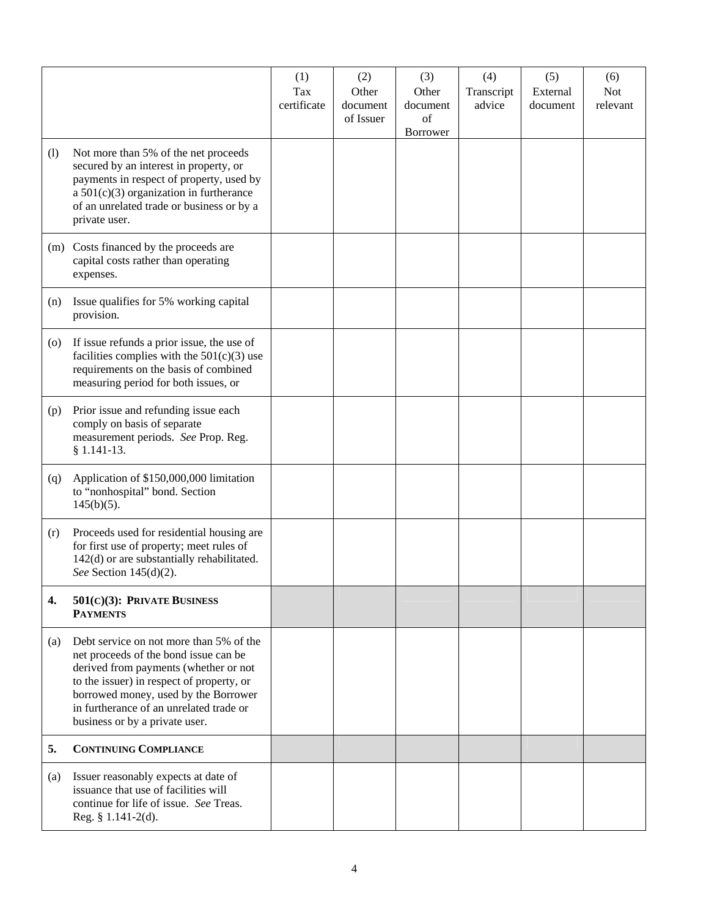|                    |                                                                                                                                                                                                                                                                                             | (1)<br>Tax<br>certificate | (2)<br>Other<br>document | (3)<br>Other<br>document | (4)<br>Transcript<br>advice | (5)<br>External<br>document | (6)<br><b>Not</b><br>relevant |
|--------------------|---------------------------------------------------------------------------------------------------------------------------------------------------------------------------------------------------------------------------------------------------------------------------------------------|---------------------------|--------------------------|--------------------------|-----------------------------|-----------------------------|-------------------------------|
|                    |                                                                                                                                                                                                                                                                                             |                           | of Issuer                | of<br>Borrower           |                             |                             |                               |
| (1)                | Not more than 5% of the net proceeds<br>secured by an interest in property, or<br>payments in respect of property, used by<br>a $501(c)(3)$ organization in furtherance<br>of an unrelated trade or business or by a<br>private user.                                                       |                           |                          |                          |                             |                             |                               |
| (m)                | Costs financed by the proceeds are<br>capital costs rather than operating<br>expenses.                                                                                                                                                                                                      |                           |                          |                          |                             |                             |                               |
| (n)                | Issue qualifies for 5% working capital<br>provision.                                                                                                                                                                                                                                        |                           |                          |                          |                             |                             |                               |
| $\left( 0 \right)$ | If issue refunds a prior issue, the use of<br>facilities complies with the $501(c)(3)$ use<br>requirements on the basis of combined<br>measuring period for both issues, or                                                                                                                 |                           |                          |                          |                             |                             |                               |
| (p)                | Prior issue and refunding issue each<br>comply on basis of separate<br>measurement periods. See Prop. Reg.<br>$§ 1.141-13.$                                                                                                                                                                 |                           |                          |                          |                             |                             |                               |
| (q)                | Application of \$150,000,000 limitation<br>to "nonhospital" bond. Section<br>$145(b)(5)$ .                                                                                                                                                                                                  |                           |                          |                          |                             |                             |                               |
| (r)                | Proceeds used for residential housing are<br>for first use of property; meet rules of<br>142(d) or are substantially rehabilitated.<br>See Section $145(d)(2)$ .                                                                                                                            |                           |                          |                          |                             |                             |                               |
| 4.                 | 501(C)(3): PRIVATE BUSINESS<br><b>PAYMENTS</b>                                                                                                                                                                                                                                              |                           |                          |                          |                             |                             |                               |
| (a)                | Debt service on not more than 5% of the<br>net proceeds of the bond issue can be<br>derived from payments (whether or not<br>to the issuer) in respect of property, or<br>borrowed money, used by the Borrower<br>in furtherance of an unrelated trade or<br>business or by a private user. |                           |                          |                          |                             |                             |                               |
| 5.                 | <b>CONTINUING COMPLIANCE</b>                                                                                                                                                                                                                                                                |                           |                          |                          |                             |                             |                               |
| (a)                | Issuer reasonably expects at date of<br>issuance that use of facilities will<br>continue for life of issue. See Treas.<br>Reg. $§$ 1.141-2(d).                                                                                                                                              |                           |                          |                          |                             |                             |                               |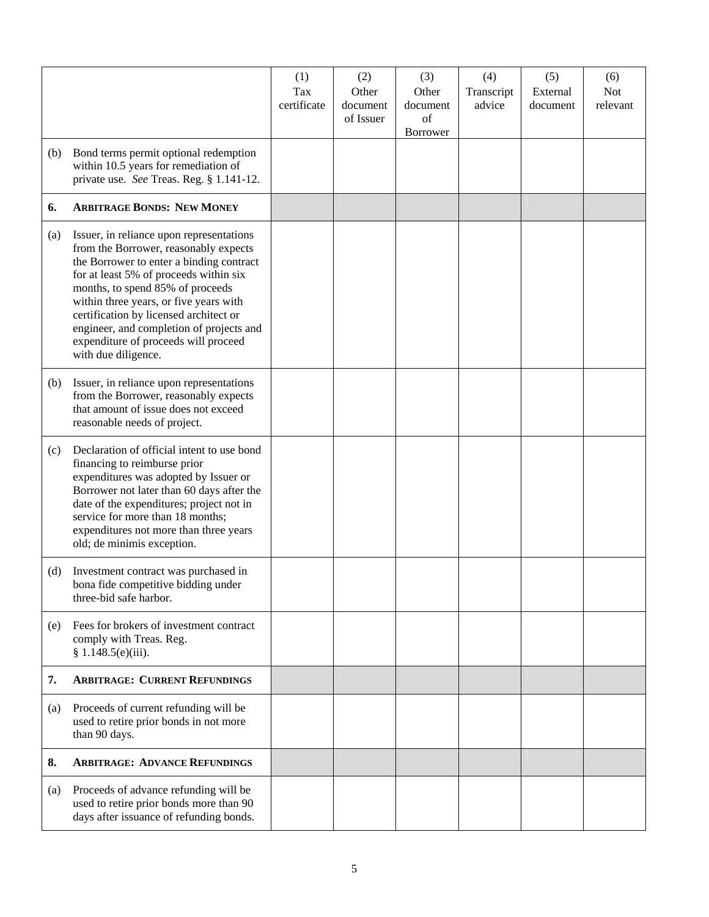|     |                                                                                                                                                                                                                                                                                                                                                                                                            | (1)<br>Tax<br>certificate | (2)<br>Other<br>document<br>of Issuer | (3)<br>Other<br>document<br>of<br>Borrower | (4)<br>Transcript<br>advice | (5)<br>External<br>document | (6)<br><b>Not</b><br>relevant |
|-----|------------------------------------------------------------------------------------------------------------------------------------------------------------------------------------------------------------------------------------------------------------------------------------------------------------------------------------------------------------------------------------------------------------|---------------------------|---------------------------------------|--------------------------------------------|-----------------------------|-----------------------------|-------------------------------|
| (b) | Bond terms permit optional redemption<br>within 10.5 years for remediation of<br>private use. See Treas. Reg. § 1.141-12.                                                                                                                                                                                                                                                                                  |                           |                                       |                                            |                             |                             |                               |
| 6.  | <b>ARBITRAGE BONDS: NEW MONEY</b>                                                                                                                                                                                                                                                                                                                                                                          |                           |                                       |                                            |                             |                             |                               |
| (a) | Issuer, in reliance upon representations<br>from the Borrower, reasonably expects<br>the Borrower to enter a binding contract<br>for at least 5% of proceeds within six<br>months, to spend 85% of proceeds<br>within three years, or five years with<br>certification by licensed architect or<br>engineer, and completion of projects and<br>expenditure of proceeds will proceed<br>with due diligence. |                           |                                       |                                            |                             |                             |                               |
| (b) | Issuer, in reliance upon representations<br>from the Borrower, reasonably expects<br>that amount of issue does not exceed<br>reasonable needs of project.                                                                                                                                                                                                                                                  |                           |                                       |                                            |                             |                             |                               |
| (c) | Declaration of official intent to use bond<br>financing to reimburse prior<br>expenditures was adopted by Issuer or<br>Borrower not later than 60 days after the<br>date of the expenditures; project not in<br>service for more than 18 months;<br>expenditures not more than three years<br>old; de minimis exception.                                                                                   |                           |                                       |                                            |                             |                             |                               |
| (d) | Investment contract was purchased in<br>bona fide competitive bidding under<br>three-bid safe harbor.                                                                                                                                                                                                                                                                                                      |                           |                                       |                                            |                             |                             |                               |
| (e) | Fees for brokers of investment contract<br>comply with Treas. Reg.<br>§ 1.148.5(e)(iii).                                                                                                                                                                                                                                                                                                                   |                           |                                       |                                            |                             |                             |                               |
| 7.  | <b>ARBITRAGE: CURRENT REFUNDINGS</b>                                                                                                                                                                                                                                                                                                                                                                       |                           |                                       |                                            |                             |                             |                               |
| (a) | Proceeds of current refunding will be<br>used to retire prior bonds in not more<br>than 90 days.                                                                                                                                                                                                                                                                                                           |                           |                                       |                                            |                             |                             |                               |
| 8.  | <b>ARBITRAGE: ADVANCE REFUNDINGS</b>                                                                                                                                                                                                                                                                                                                                                                       |                           |                                       |                                            |                             |                             |                               |
| (a) | Proceeds of advance refunding will be<br>used to retire prior bonds more than 90<br>days after issuance of refunding bonds.                                                                                                                                                                                                                                                                                |                           |                                       |                                            |                             |                             |                               |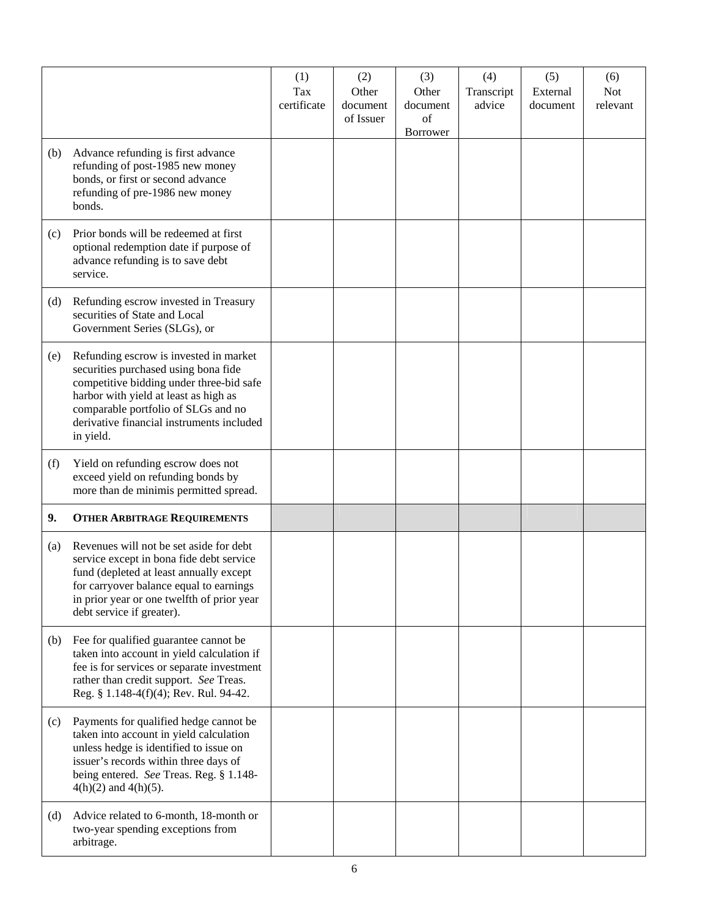|     |                                                                                                                                                                                                                                                                      | (1)                | (2)               | (3)                   | (4)                  | (5)                  | (6)                    |
|-----|----------------------------------------------------------------------------------------------------------------------------------------------------------------------------------------------------------------------------------------------------------------------|--------------------|-------------------|-----------------------|----------------------|----------------------|------------------------|
|     |                                                                                                                                                                                                                                                                      | Tax<br>certificate | Other<br>document | Other<br>document     | Transcript<br>advice | External<br>document | <b>Not</b><br>relevant |
|     |                                                                                                                                                                                                                                                                      |                    | of Issuer         | of<br><b>Borrower</b> |                      |                      |                        |
| (b) | Advance refunding is first advance<br>refunding of post-1985 new money<br>bonds, or first or second advance<br>refunding of pre-1986 new money<br>bonds.                                                                                                             |                    |                   |                       |                      |                      |                        |
| (c) | Prior bonds will be redeemed at first<br>optional redemption date if purpose of<br>advance refunding is to save debt<br>service.                                                                                                                                     |                    |                   |                       |                      |                      |                        |
| (d) | Refunding escrow invested in Treasury<br>securities of State and Local<br>Government Series (SLGs), or                                                                                                                                                               |                    |                   |                       |                      |                      |                        |
| (e) | Refunding escrow is invested in market<br>securities purchased using bona fide<br>competitive bidding under three-bid safe<br>harbor with yield at least as high as<br>comparable portfolio of SLGs and no<br>derivative financial instruments included<br>in yield. |                    |                   |                       |                      |                      |                        |
| (f) | Yield on refunding escrow does not<br>exceed yield on refunding bonds by<br>more than de minimis permitted spread.                                                                                                                                                   |                    |                   |                       |                      |                      |                        |
| 9.  | <b>OTHER ARBITRAGE REQUIREMENTS</b>                                                                                                                                                                                                                                  |                    |                   |                       |                      |                      |                        |
| (a) | Revenues will not be set aside for debt<br>service except in bona fide debt service<br>fund (depleted at least annually except<br>for carryover balance equal to earnings<br>in prior year or one twelfth of prior year<br>debt service if greater).                 |                    |                   |                       |                      |                      |                        |
| (b) | Fee for qualified guarantee cannot be<br>taken into account in yield calculation if<br>fee is for services or separate investment<br>rather than credit support. See Treas.<br>Reg. § 1.148-4(f)(4); Rev. Rul. 94-42.                                                |                    |                   |                       |                      |                      |                        |
| (c) | Payments for qualified hedge cannot be<br>taken into account in yield calculation<br>unless hedge is identified to issue on<br>issuer's records within three days of<br>being entered. See Treas. Reg. § 1.148-<br>$4(h)(2)$ and $4(h)(5)$ .                         |                    |                   |                       |                      |                      |                        |
| (d) | Advice related to 6-month, 18-month or<br>two-year spending exceptions from<br>arbitrage.                                                                                                                                                                            |                    |                   |                       |                      |                      |                        |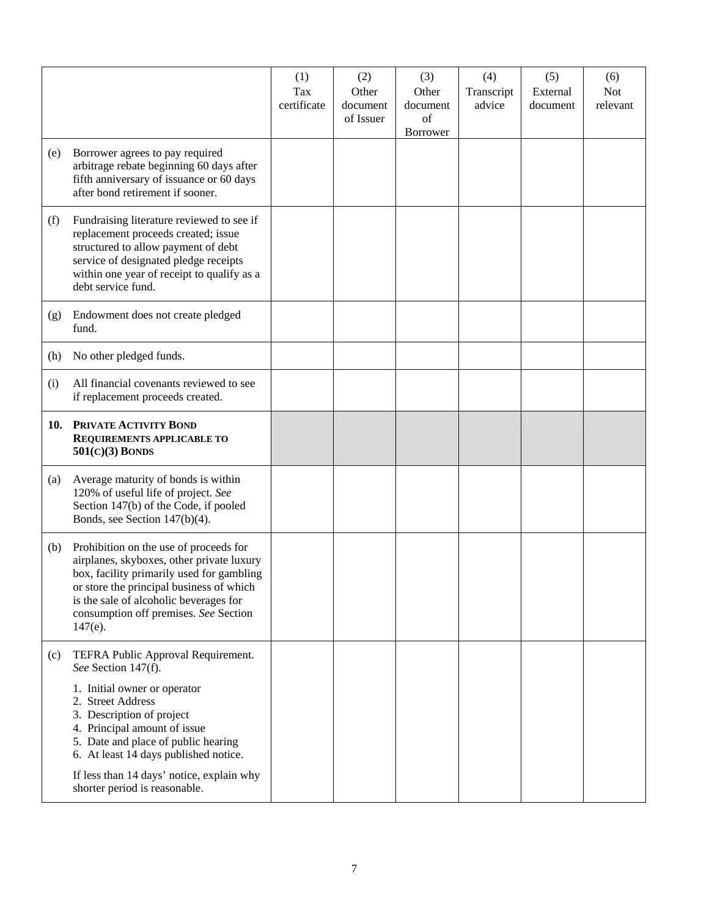|     |                                                                                                                                                                                                                                                                               | (1)<br>Tax<br>certificate | (2)<br>Other<br>document<br>of Issuer | (3)<br>Other<br>document<br>of<br>Borrower | (4)<br>Transcript<br>advice | (5)<br>External<br>document | (6)<br><b>Not</b><br>relevant |
|-----|-------------------------------------------------------------------------------------------------------------------------------------------------------------------------------------------------------------------------------------------------------------------------------|---------------------------|---------------------------------------|--------------------------------------------|-----------------------------|-----------------------------|-------------------------------|
| (e) | Borrower agrees to pay required<br>arbitrage rebate beginning 60 days after<br>fifth anniversary of issuance or 60 days<br>after bond retirement if sooner.                                                                                                                   |                           |                                       |                                            |                             |                             |                               |
| (f) | Fundraising literature reviewed to see if<br>replacement proceeds created; issue<br>structured to allow payment of debt<br>service of designated pledge receipts<br>within one year of receipt to qualify as a<br>debt service fund.                                          |                           |                                       |                                            |                             |                             |                               |
| (g) | Endowment does not create pledged<br>fund.                                                                                                                                                                                                                                    |                           |                                       |                                            |                             |                             |                               |
| (h) | No other pledged funds.                                                                                                                                                                                                                                                       |                           |                                       |                                            |                             |                             |                               |
| (i) | All financial covenants reviewed to see<br>if replacement proceeds created.                                                                                                                                                                                                   |                           |                                       |                                            |                             |                             |                               |
|     | 10. PRIVATE ACTIVITY BOND<br>REQUIREMENTS APPLICABLE TO<br>$501(C)(3)$ BONDS                                                                                                                                                                                                  |                           |                                       |                                            |                             |                             |                               |
| (a) | Average maturity of bonds is within<br>120% of useful life of project. See<br>Section 147(b) of the Code, if pooled<br>Bonds, see Section 147(b)(4).                                                                                                                          |                           |                                       |                                            |                             |                             |                               |
| (b) | Prohibition on the use of proceeds for<br>airplanes, skyboxes, other private luxury<br>box, facility primarily used for gambling<br>or store the principal business of which<br>is the sale of alcoholic beverages for<br>consumption off premises. See Section<br>$147(e)$ . |                           |                                       |                                            |                             |                             |                               |
| (c) | TEFRA Public Approval Requirement.<br>See Section 147(f).<br>1. Initial owner or operator                                                                                                                                                                                     |                           |                                       |                                            |                             |                             |                               |
|     | 2. Street Address<br>3. Description of project<br>4. Principal amount of issue<br>5. Date and place of public hearing<br>6. At least 14 days published notice.                                                                                                                |                           |                                       |                                            |                             |                             |                               |
|     | If less than 14 days' notice, explain why<br>shorter period is reasonable.                                                                                                                                                                                                    |                           |                                       |                                            |                             |                             |                               |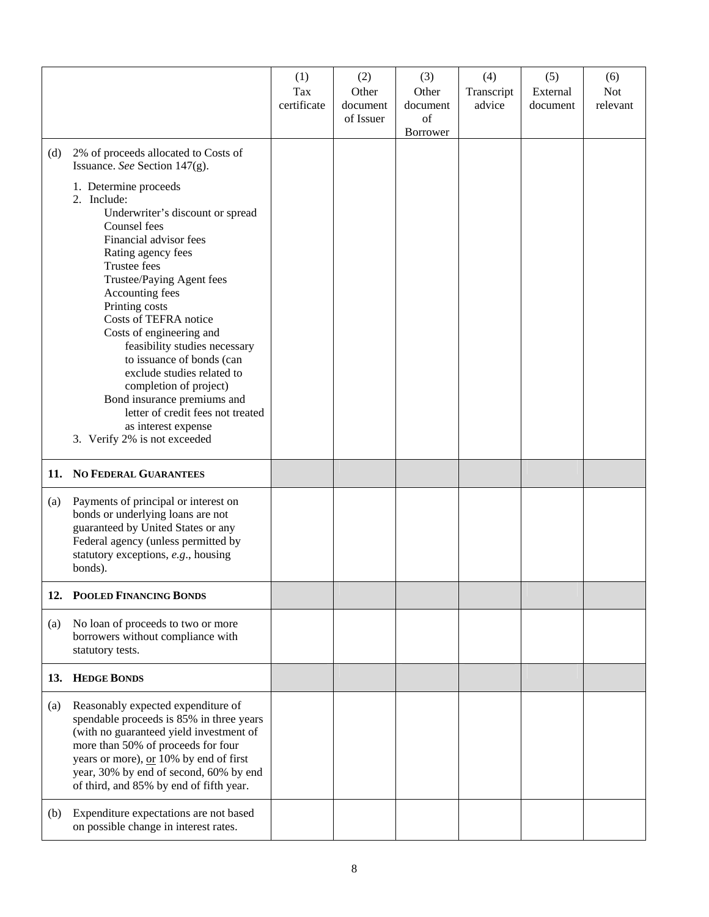|     |                                                                                                                                                                                                                                                                                                                                                                                                                                                                                                                                  | (1)<br>Tax<br>certificate | (2)<br>Other<br>document<br>of Issuer | (3)<br>Other<br>document<br>of<br>Borrower | (4)<br>Transcript<br>advice | (5)<br>External<br>document | (6)<br><b>Not</b><br>relevant |
|-----|----------------------------------------------------------------------------------------------------------------------------------------------------------------------------------------------------------------------------------------------------------------------------------------------------------------------------------------------------------------------------------------------------------------------------------------------------------------------------------------------------------------------------------|---------------------------|---------------------------------------|--------------------------------------------|-----------------------------|-----------------------------|-------------------------------|
| (d) | 2% of proceeds allocated to Costs of<br>Issuance. See Section 147(g).                                                                                                                                                                                                                                                                                                                                                                                                                                                            |                           |                                       |                                            |                             |                             |                               |
|     | 1. Determine proceeds<br>2. Include:<br>Underwriter's discount or spread<br>Counsel fees<br>Financial advisor fees<br>Rating agency fees<br>Trustee fees<br>Trustee/Paying Agent fees<br>Accounting fees<br>Printing costs<br>Costs of TEFRA notice<br>Costs of engineering and<br>feasibility studies necessary<br>to issuance of bonds (can<br>exclude studies related to<br>completion of project)<br>Bond insurance premiums and<br>letter of credit fees not treated<br>as interest expense<br>3. Verify 2% is not exceeded |                           |                                       |                                            |                             |                             |                               |
|     | 11. NO FEDERAL GUARANTEES                                                                                                                                                                                                                                                                                                                                                                                                                                                                                                        |                           |                                       |                                            |                             |                             |                               |
| (a) | Payments of principal or interest on<br>bonds or underlying loans are not<br>guaranteed by United States or any<br>Federal agency (unless permitted by<br>statutory exceptions, e.g., housing<br>bonds).                                                                                                                                                                                                                                                                                                                         |                           |                                       |                                            |                             |                             |                               |
|     | 12. POOLED FINANCING BONDS                                                                                                                                                                                                                                                                                                                                                                                                                                                                                                       |                           |                                       |                                            |                             |                             |                               |
| (a) | No loan of proceeds to two or more<br>borrowers without compliance with<br>statutory tests.                                                                                                                                                                                                                                                                                                                                                                                                                                      |                           |                                       |                                            |                             |                             |                               |
|     | 13. HEDGE BONDS                                                                                                                                                                                                                                                                                                                                                                                                                                                                                                                  |                           |                                       |                                            |                             |                             |                               |
| (a) | Reasonably expected expenditure of<br>spendable proceeds is 85% in three years<br>(with no guaranteed yield investment of<br>more than 50% of proceeds for four<br>years or more), or 10% by end of first<br>year, 30% by end of second, 60% by end<br>of third, and 85% by end of fifth year.                                                                                                                                                                                                                                   |                           |                                       |                                            |                             |                             |                               |
| (b) | Expenditure expectations are not based<br>on possible change in interest rates.                                                                                                                                                                                                                                                                                                                                                                                                                                                  |                           |                                       |                                            |                             |                             |                               |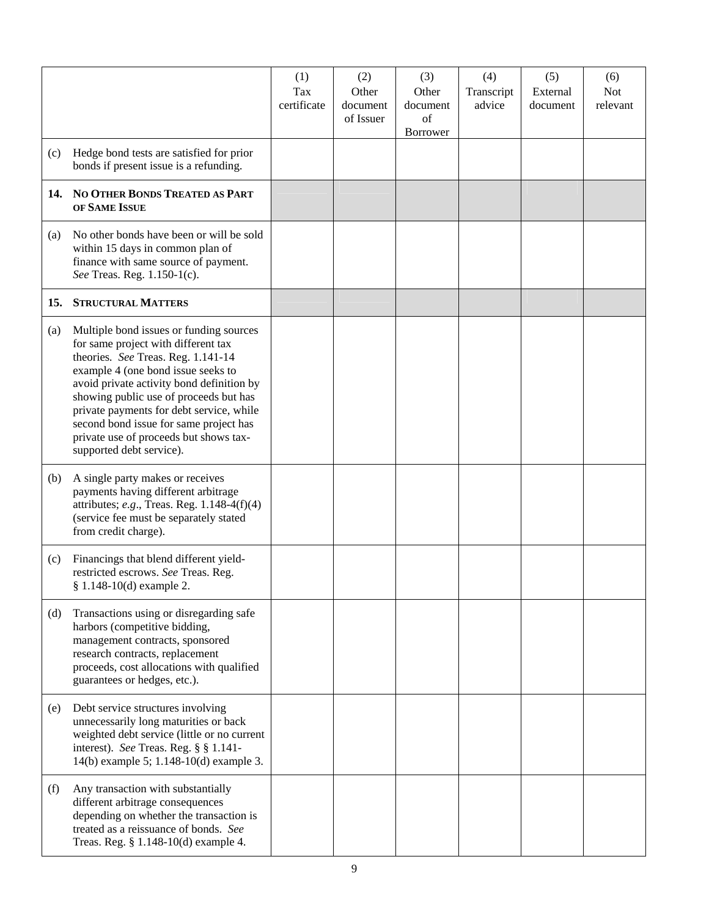|     |                                                                                                                                                                                                                                                                                                                                                                                                               | (1)<br>Tax<br>certificate | (2)<br>Other<br>document<br>of Issuer | (3)<br>Other<br>document<br>of<br>Borrower | (4)<br>Transcript<br>advice | (5)<br>External<br>document | (6)<br><b>Not</b><br>relevant |
|-----|---------------------------------------------------------------------------------------------------------------------------------------------------------------------------------------------------------------------------------------------------------------------------------------------------------------------------------------------------------------------------------------------------------------|---------------------------|---------------------------------------|--------------------------------------------|-----------------------------|-----------------------------|-------------------------------|
| (c) | Hedge bond tests are satisfied for prior<br>bonds if present issue is a refunding.                                                                                                                                                                                                                                                                                                                            |                           |                                       |                                            |                             |                             |                               |
|     | 14. NO OTHER BONDS TREATED AS PART<br>OF SAME ISSUE                                                                                                                                                                                                                                                                                                                                                           |                           |                                       |                                            |                             |                             |                               |
| (a) | No other bonds have been or will be sold<br>within 15 days in common plan of<br>finance with same source of payment.<br>See Treas. Reg. 1.150-1(c).                                                                                                                                                                                                                                                           |                           |                                       |                                            |                             |                             |                               |
| 15. | <b>STRUCTURAL MATTERS</b>                                                                                                                                                                                                                                                                                                                                                                                     |                           |                                       |                                            |                             |                             |                               |
| (a) | Multiple bond issues or funding sources<br>for same project with different tax<br>theories. See Treas. Reg. 1.141-14<br>example 4 (one bond issue seeks to<br>avoid private activity bond definition by<br>showing public use of proceeds but has<br>private payments for debt service, while<br>second bond issue for same project has<br>private use of proceeds but shows tax-<br>supported debt service). |                           |                                       |                                            |                             |                             |                               |
| (b) | A single party makes or receives<br>payments having different arbitrage<br>attributes; e.g., Treas. Reg. 1.148-4(f)(4)<br>(service fee must be separately stated<br>from credit charge).                                                                                                                                                                                                                      |                           |                                       |                                            |                             |                             |                               |
| (c) | Financings that blend different yield-<br>restricted escrows. See Treas. Reg.<br>§ 1.148-10(d) example 2.                                                                                                                                                                                                                                                                                                     |                           |                                       |                                            |                             |                             |                               |
| (d) | Transactions using or disregarding safe<br>harbors (competitive bidding,<br>management contracts, sponsored<br>research contracts, replacement<br>proceeds, cost allocations with qualified<br>guarantees or hedges, etc.).                                                                                                                                                                                   |                           |                                       |                                            |                             |                             |                               |
| (e) | Debt service structures involving<br>unnecessarily long maturities or back<br>weighted debt service (little or no current<br>interest). See Treas. Reg. § § 1.141-<br>14(b) example 5; 1.148-10(d) example 3.                                                                                                                                                                                                 |                           |                                       |                                            |                             |                             |                               |
| (f) | Any transaction with substantially<br>different arbitrage consequences<br>depending on whether the transaction is<br>treated as a reissuance of bonds. See<br>Treas. Reg. § 1.148-10(d) example 4.                                                                                                                                                                                                            |                           |                                       |                                            |                             |                             |                               |